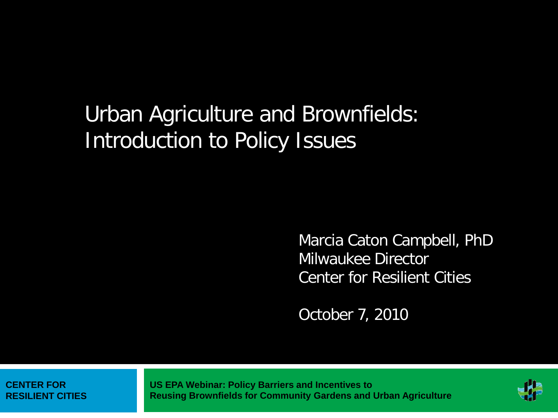# Urban Agriculture and Brownfields: Introduction to Policy Issues

Marcia Caton Campbell, PhD Milwaukee Director Center for Resilient Cities

October 7, 2010

**CENTER FOR RESILIENT CITIES**

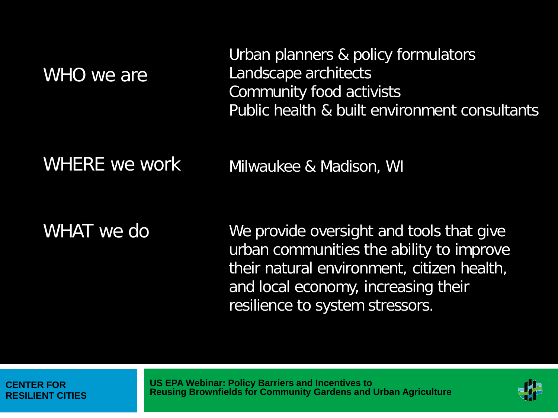| WHO we are    | Urban planners & policy formulators<br>Landscape architects<br>Community food activists<br>Public health & built environment consultants |
|---------------|------------------------------------------------------------------------------------------------------------------------------------------|
| WHERE we work | Milwaukee & Madison, WI                                                                                                                  |

WHAT we do

We provide oversight and tools that give urban communities the ability to improve their natural environment, citizen health, and local economy, increasing their resilience to system stressors.

**CENTER FOR RESILIENT CITIES** 

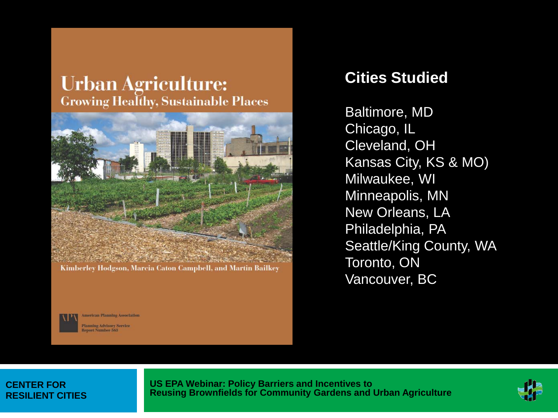### **Urban Agriculture: Growing Healthy, Sustainable Places**



Kimberley Hodgson, Marcia Caton Campbell, and Martin Bailkey

### **Cities Studied**

Baltimore, MD Chicago, IL Cleveland, OH Kansas City, KS & MO) Milwaukee, WI Minneapolis, MN New Orleans, LA Philadelphia, PA Seattle/King County, WA Toronto, ON Vancouver, BC

merican Planning Association **Hanning Advisory Service** ort Number 563

#### **CENTER FOR RESILIENT CITIES**

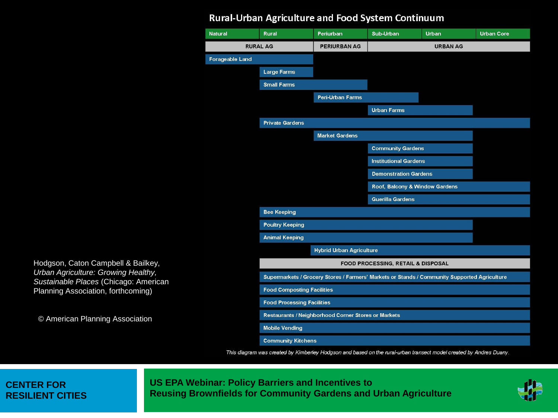#### Rural-Urban Agriculture and Food System Continuum



This diagram was created by Kimberley Hodgson and based on the rural-urban transect model created by Andres Duany.

#### **CENTER FOR RESILIENT CITIES**

© American Planning Association

Hodgson, Caton Campbell & Bailkey, *Urban Agriculture: Growing Healthy, Sustainable Places* (Chicago: American Planning Association, forthcoming)

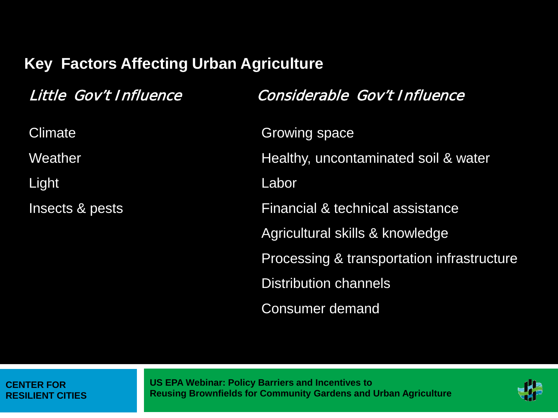# **Key Factors Affecting Urban Agriculture**

| Little Gov't Influence | Considerable Gov't Influence               |
|------------------------|--------------------------------------------|
| <b>Climate</b>         | <b>Growing space</b>                       |
| Weather                | Healthy, uncontaminated soil & water       |
| Light                  | Labor                                      |
| Insects & pests        | Financial & technical assistance           |
|                        | Agricultural skills & knowledge            |
|                        | Processing & transportation infrastructure |
|                        | <b>Distribution channels</b>               |
|                        | <b>Consumer demand</b>                     |

#### **CENTER FOR RESILIENT CITIES**

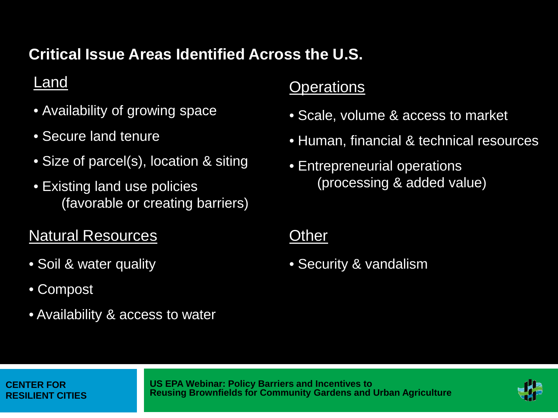# **Critical Issue Areas Identified Across the U.S.**

## Land

- Availability of growing space
- Secure land tenure
- Size of parcel(s), location & siting
- Existing land use policies (favorable or creating barriers)

# Natural Resources

- Soil & water quality
- Compost
- Availability & access to water

## **Operations**

- Scale, volume & access to market
- Human, financial & technical resources
- Entrepreneurial operations (processing & added value)

### **Other**

• Security & vandalism